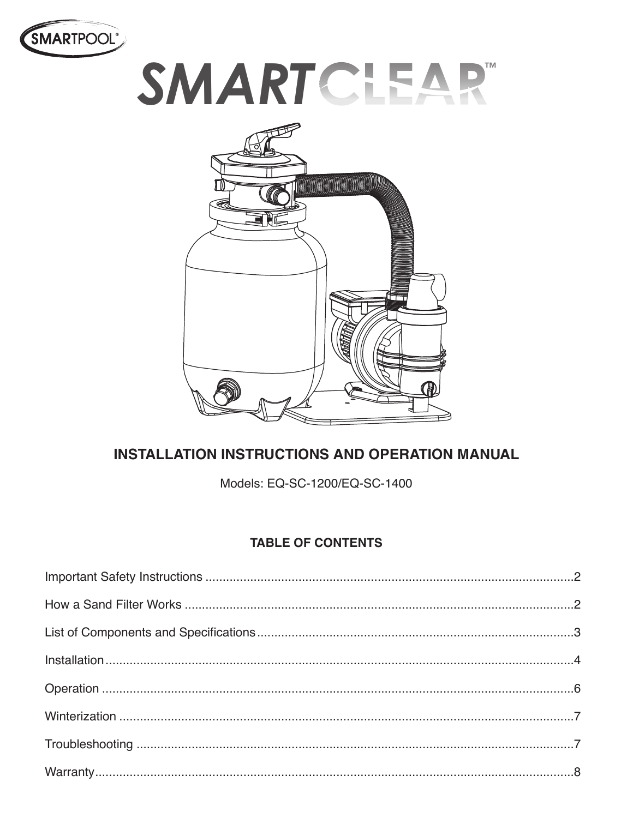

# **SMARTCLEAP**



# **INSTALLATION INSTRUCTIONS AND OPERATION MANUAL**

Models: EQ-SC-1200/EQ-SC-1400

## **TABLE OF CONTENTS**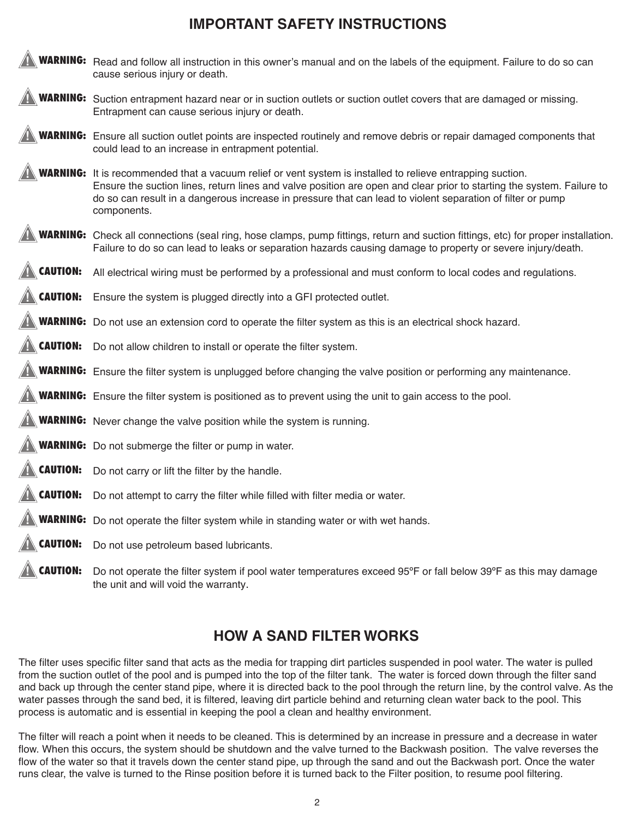## **IMPORTANT SAFETY INSTRUCTIONS**



# **HOW A SAND FILTER WORKS**

The filter uses specific filter sand that acts as the media for trapping dirt particles suspended in pool water. The water is pulled from the suction outlet of the pool and is pumped into the top of the filter tank. The water is forced down through the filter sand and back up through the center stand pipe, where it is directed back to the pool through the return line, by the control valve. As the water passes through the sand bed, it is filtered, leaving dirt particle behind and returning clean water back to the pool. This process is automatic and is essential in keeping the pool a clean and healthy environment.

The filter will reach a point when it needs to be cleaned. This is determined by an increase in pressure and a decrease in water flow. When this occurs, the system should be shutdown and the valve turned to the Backwash position. The valve reverses the flow of the water so that it travels down the center stand pipe, up through the sand and out the Backwash port. Once the water runs clear, the valve is turned to the Rinse position before it is turned back to the Filter position, to resume pool filtering.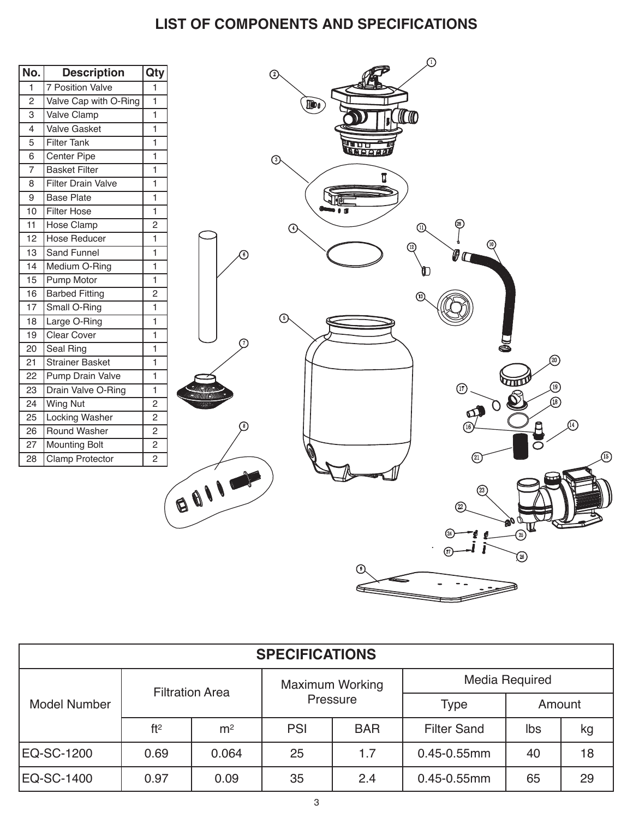# **LIST OF COMPONENTS AND SPECIFICATIONS**

| No.              | <b>Description</b>        | Qty            | $\overline{\mathcal{Q}}$<br>⊙          |
|------------------|---------------------------|----------------|----------------------------------------|
| $\mathbf{1}$     | <b>7 Position Valve</b>   | $\overline{1}$ |                                        |
| $\overline{c}$   | Valve Cap with O-Ring     | $\mathbf{1}$   |                                        |
| 3                | Valve Clamp               | $\overline{1}$ | <b>IDO</b>                             |
| 4                | Valve Gasket              | $\mathbf{1}$   | (CTO)                                  |
| 5                | <b>Filter Tank</b>        | $\mathbf{1}$   |                                        |
| 6                | Center Pipe               | $\mathbf{1}$   | <b>Muu</b>                             |
| $\overline{7}$   | <b>Basket Filter</b>      | $\overline{1}$ | $\odot$                                |
| 8                | <b>Filter Drain Valve</b> | $\mathbf{1}$   | ū                                      |
| $\boldsymbol{9}$ | <b>Base Plate</b>         | $\mathbf{1}$   |                                        |
| 10               | <b>Filter Hose</b>        | $\mathbf{1}$   |                                        |
| 11               | Hose Clamp                | $\overline{2}$ |                                        |
| 12               | Hose Reducer              | $\mathbf{1}$   | $\odot$<br>$^{\circledR}$              |
| 13               | Sand Funnel               | $\mathbf{1}$   | (10)<br>$\left( \text{12}\right)$<br>0 |
| 14               | Medium O-Ring             | $\mathbf{1}$   |                                        |
| 15               | Pump Motor                | $\mathbf{1}$   |                                        |
| 16               | <b>Barbed Fitting</b>     | $\sqrt{2}$     | ∩                                      |
| $17$             | Small O-Ring              | $\mathbf{1}$   |                                        |
| 18               | Large O-Ring              | $\mathbf{1}$   | ⊙                                      |
| 19               | Clear Cover               | $\mathbf{1}$   |                                        |
| 20               | Seal Ring                 | $\mathbf{1}$   | ⋒                                      |
| 21               | Strainer Basket           | $\mathbf{1}$   | 20                                     |
| 22               | Pump Drain Valve          | $\mathbf{1}$   |                                        |
| 23               | Drain Valve O-Ring        | $\mathbf{1}$   | $^{\circledR}$<br>(19)                 |
| 24               | <b>Wing Nut</b>           | $\overline{2}$ | ൹                                      |
| 25               | <b>Locking Washer</b>     | $\overline{2}$ | $\sigma$                               |
| 26               | Round Washer              | $\overline{2}$ | $\left( \widehat{16}\right)$           |
| 27               | Mounting Bolt             | $\overline{2}$ |                                        |
| 28               | Clamp Protector           | $\overline{2}$ | $(\widehat{\mathbb{Z}})$               |
|                  |                           |                | BOILER                                 |
|                  |                           |                | 23                                     |
|                  |                           |                | ➁                                      |
|                  |                           |                |                                        |
|                  |                           |                | $x = 1$<br><b>CONTROLLER</b>           |
|                  |                           |                |                                        |
|                  |                           |                | $\circledS$                            |
|                  |                           |                |                                        |
|                  |                           |                |                                        |
|                  |                           |                |                                        |

| <b>SPECIFICATIONS</b> |                        |                |                                    |            |                    |        |    |
|-----------------------|------------------------|----------------|------------------------------------|------------|--------------------|--------|----|
| Model Number          | <b>Filtration Area</b> |                | <b>Maximum Working</b><br>Pressure |            | Media Required     |        |    |
|                       |                        |                |                                    |            | <b>Type</b>        | Amount |    |
|                       | ft <sup>2</sup>        | m <sup>2</sup> | <b>PSI</b>                         | <b>BAR</b> | <b>Filter Sand</b> | lbs    | kg |
| EQ-SC-1200            | 0.69                   | 0.064          | 25                                 | 1.7        | $0.45 - 0.55$ mm   | 40     | 18 |
| EQ-SC-1400            | 0.97                   | 0.09           | 35                                 | 2.4        | $0.45 - 0.55$ mm   | 65     | 29 |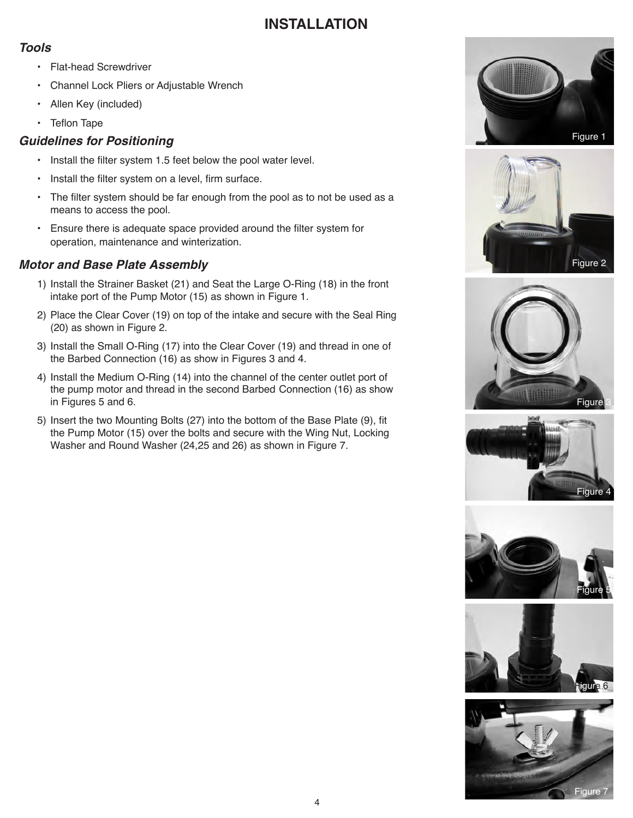## **INSTALLATION**

#### *Tools*

- Flat-head Screwdriver
- Channel Lock Pliers or Adjustable Wrench
- Allen Key (included)
- Teflon Tape

## *Guidelines for Positioning*

- Install the filter system 1.5 feet below the pool water level.
- Install the filter system on a level, firm surface.
- The filter system should be far enough from the pool as to not be used as a means to access the pool.
- Ensure there is adequate space provided around the filter system for operation, maintenance and winterization.

## *Motor and Base Plate Assembly*

- 1) Install the Strainer Basket (21) and Seat the Large O-Ring (18) in the front intake port of the Pump Motor (15) as shown in Figure 1.
- 2) Place the Clear Cover (19) on top of the intake and secure with the Seal Ring (20) as shown in Figure 2.
- 3) Install the Small O-Ring (17) into the Clear Cover (19) and thread in one of the Barbed Connection (16) as show in Figures 3 and 4.
- 4) Install the Medium O-Ring (14) into the channel of the center outlet port of the pump motor and thread in the second Barbed Connection (16) as show in Figures 5 and 6.
- 5) Insert the two Mounting Bolts (27) into the bottom of the Base Plate (9), fit the Pump Motor (15) over the bolts and secure with the Wing Nut, Locking Washer and Round Washer (24,25 and 26) as shown in Figure 7.













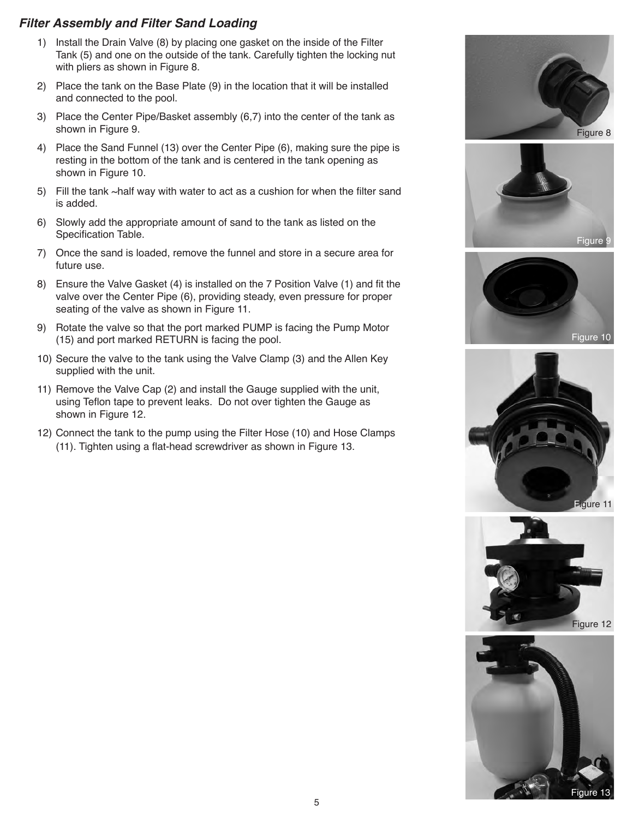#### *Filter Assembly and Filter Sand Loading*

- 1) Install the Drain Valve (8) by placing one gasket on the inside of the Filter Tank (5) and one on the outside of the tank. Carefully tighten the locking nut with pliers as shown in Figure 8.
- 2) Place the tank on the Base Plate (9) in the location that it will be installed and connected to the pool.
- 3) Place the Center Pipe/Basket assembly (6,7) into the center of the tank as shown in Figure 9.
- 4) Place the Sand Funnel (13) over the Center Pipe (6), making sure the pipe is resting in the bottom of the tank and is centered in the tank opening as shown in Figure 10.
- 5) Fill the tank ~half way with water to act as a cushion for when the filter sand is added.
- 6) Slowly add the appropriate amount of sand to the tank as listed on the Specification Table.
- 7) Once the sand is loaded, remove the funnel and store in a secure area for future use.
- 8) Ensure the Valve Gasket (4) is installed on the 7 Position Valve (1) and fit the valve over the Center Pipe (6), providing steady, even pressure for proper seating of the valve as shown in Figure 11.
- 9) Rotate the valve so that the port marked PUMP is facing the Pump Motor (15) and port marked RETURN is facing the pool.
- 10) Secure the valve to the tank using the Valve Clamp (3) and the Allen Key supplied with the unit.
- 11) Remove the Valve Cap (2) and install the Gauge supplied with the unit, using Teflon tape to prevent leaks. Do not over tighten the Gauge as shown in Figure 12.
- 12) Connect the tank to the pump using the Filter Hose (10) and Hose Clamps (11). Tighten using a flat-head screwdriver as shown in Figure 13.











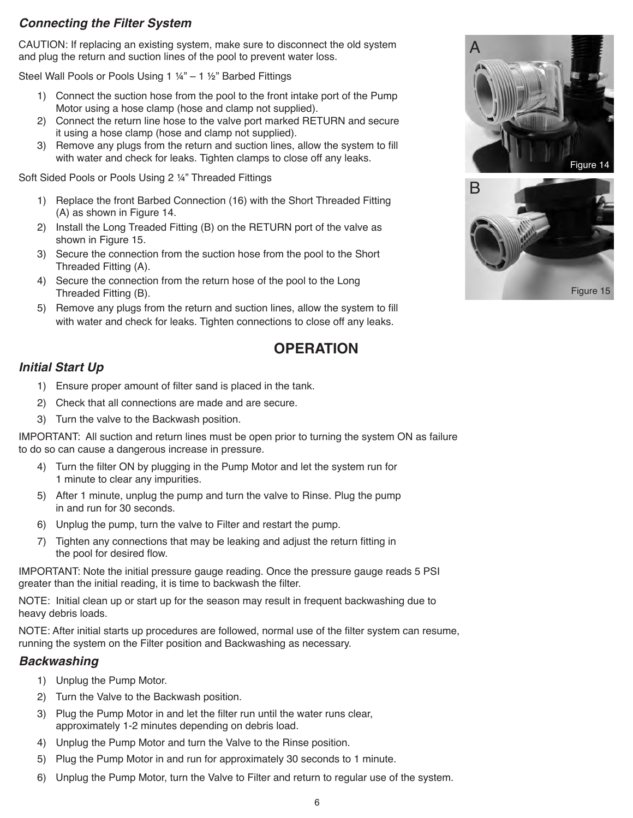### *Connecting the Filter System*

CAUTION: If replacing an existing system, make sure to disconnect the old system and plug the return and suction lines of the pool to prevent water loss.

Steel Wall Pools or Pools Using 1 ¼" – 1 ½" Barbed Fittings

- 1) Connect the suction hose from the pool to the front intake port of the Pump Motor using a hose clamp (hose and clamp not supplied).
- 2) Connect the return line hose to the valve port marked RETURN and secure it using a hose clamp (hose and clamp not supplied).
- 3) Remove any plugs from the return and suction lines, allow the system to fill with water and check for leaks. Tighten clamps to close off any leaks.

Soft Sided Pools or Pools Using 2 ¼" Threaded Fittings

- 1) Replace the front Barbed Connection (16) with the Short Threaded Fitting (A) as shown in Figure 14.
- 2) Install the Long Treaded Fitting (B) on the RETURN port of the valve as shown in Figure 15.
- 3) Secure the connection from the suction hose from the pool to the Short Threaded Fitting (A).
- 4) Secure the connection from the return hose of the pool to the Long Threaded Fitting (B).
- 5) Remove any plugs from the return and suction lines, allow the system to fill with water and check for leaks. Tighten connections to close off any leaks.





## **OPERATION**

#### *Initial Start Up*

- 1) Ensure proper amount of filter sand is placed in the tank.
- 2) Check that all connections are made and are secure.
- 3) Turn the valve to the Backwash position.

IMPORTANT: All suction and return lines must be open prior to turning the system ON as failure to do so can cause a dangerous increase in pressure.

- 4) Turn the filter ON by plugging in the Pump Motor and let the system run for 1 minute to clear any impurities.
- 5) After 1 minute, unplug the pump and turn the valve to Rinse. Plug the pump in and run for 30 seconds.
- 6) Unplug the pump, turn the valve to Filter and restart the pump.
- 7) Tighten any connections that may be leaking and adjust the return fitting in the pool for desired flow.

IMPORTANT: Note the initial pressure gauge reading. Once the pressure gauge reads 5 PSI greater than the initial reading, it is time to backwash the filter.

NOTE: Initial clean up or start up for the season may result in frequent backwashing due to heavy debris loads.

NOTE: After initial starts up procedures are followed, normal use of the filter system can resume, running the system on the Filter position and Backwashing as necessary.

#### *Backwashing*

- 1) Unplug the Pump Motor.
- 2) Turn the Valve to the Backwash position.
- 3) Plug the Pump Motor in and let the filter run until the water runs clear, approximately 1-2 minutes depending on debris load.
- 4) Unplug the Pump Motor and turn the Valve to the Rinse position.
- 5) Plug the Pump Motor in and run for approximately 30 seconds to 1 minute.
- 6) Unplug the Pump Motor, turn the Valve to Filter and return to regular use of the system.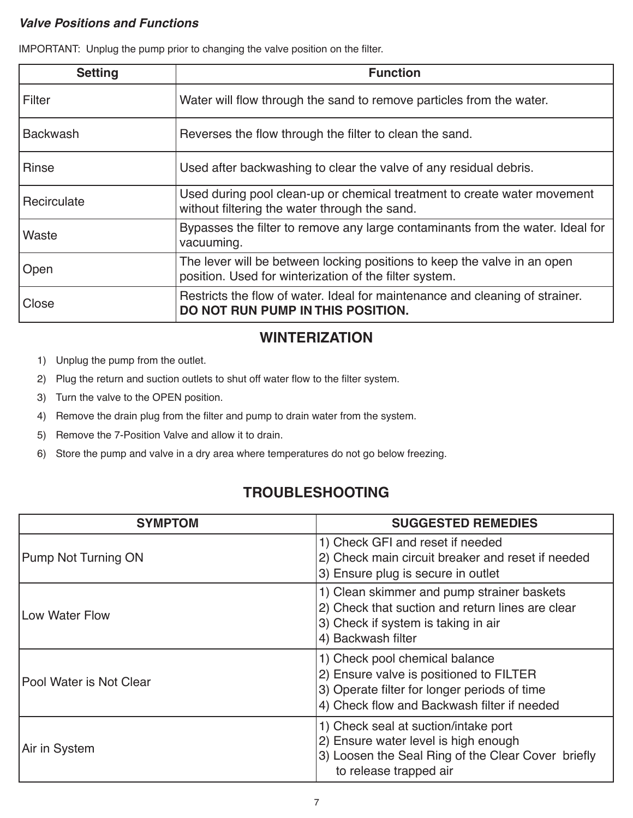#### *Valve Positions and Functions*

IMPORTANT: Unplug the pump prior to changing the valve position on the filter.

| <b>Setting</b>  | <b>Function</b>                                                                                                                    |
|-----------------|------------------------------------------------------------------------------------------------------------------------------------|
| l Filter        | Water will flow through the sand to remove particles from the water.                                                               |
| <b>Backwash</b> | Reverses the flow through the filter to clean the sand.                                                                            |
| <b>Rinse</b>    | Used after backwashing to clear the valve of any residual debris.                                                                  |
| Recirculate     | Used during pool clean-up or chemical treatment to create water movement<br>without filtering the water through the sand.          |
| Waste           | Bypasses the filter to remove any large contaminants from the water. Ideal for<br>vacuuming.                                       |
| Open            | The lever will be between locking positions to keep the valve in an open<br>position. Used for winterization of the filter system. |
| Close           | Restricts the flow of water. Ideal for maintenance and cleaning of strainer.<br>DO NOT RUN PUMP IN THIS POSITION.                  |

# **WINTERIZATION**

- 1) Unplug the pump from the outlet.
- 2) Plug the return and suction outlets to shut off water flow to the filter system.
- 3) Turn the valve to the OPEN position.
- 4) Remove the drain plug from the filter and pump to drain water from the system.
- 5) Remove the 7-Position Valve and allow it to drain.
- 6) Store the pump and valve in a dry area where temperatures do not go below freezing.

# **TROUBLESHOOTING**

| <b>SYMPTOM</b>             | <b>SUGGESTED REMEDIES</b>                                                                                                                                                |
|----------------------------|--------------------------------------------------------------------------------------------------------------------------------------------------------------------------|
| <b>Pump Not Turning ON</b> | 1) Check GFI and reset if needed<br>2) Check main circuit breaker and reset if needed<br>3) Ensure plug is secure in outlet                                              |
| Low Water Flow             | 1) Clean skimmer and pump strainer baskets<br>2) Check that suction and return lines are clear<br>3) Check if system is taking in air<br>4) Backwash filter              |
| IPool Water is Not Clear   | 1) Check pool chemical balance<br>2) Ensure valve is positioned to FILTER<br>3) Operate filter for longer periods of time<br>4) Check flow and Backwash filter if needed |
| Air in System              | 1) Check seal at suction/intake port<br>2) Ensure water level is high enough<br>3) Loosen the Seal Ring of the Clear Cover briefly<br>to release trapped air             |